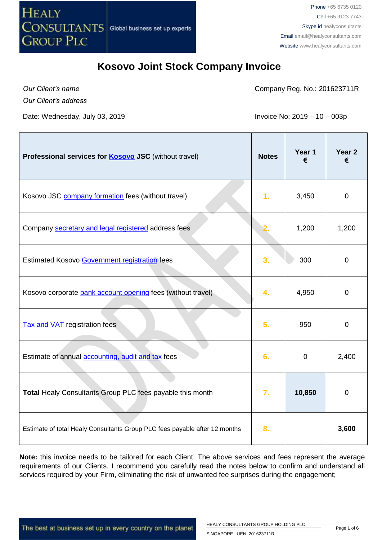

*Our Client's name*

Company Reg. No.: 201623711R

*Our Client's address*

Date: Wednesday, July 03, 2019 **Invoice No: 2019** - 10 – 003p

| Professional services for <b>Kosovo JSC</b> (without travel)               | <b>Notes</b> | Year 1<br>€ | Year <sub>2</sub><br>€ |
|----------------------------------------------------------------------------|--------------|-------------|------------------------|
| Kosovo JSC company formation fees (without travel)                         | 1.           | 3,450       | $\mathbf 0$            |
| Company secretary and legal registered address fees                        |              | 1,200       | 1,200                  |
| Estimated Kosovo Government registration fees                              | 3.           | 300         | $\mathbf 0$            |
| Kosovo corporate bank account opening fees (without travel)                | 4.           | 4,950       | 0                      |
| <b>Tax and VAT</b> registration fees                                       | 5.           | 950         | $\mathbf 0$            |
| Estimate of annual accounting, audit and tax fees                          | 6.           | $\mathbf 0$ | 2,400                  |
| Total Healy Consultants Group PLC fees payable this month                  | 7.           | 10,850      | 0                      |
| Estimate of total Healy Consultants Group PLC fees payable after 12 months | 8.           |             | 3,600                  |

**Note:** this invoice needs to be tailored for each Client. The above services and fees represent the average requirements of our Clients. I recommend you carefully read the notes below to confirm and understand all services required by your Firm, eliminating the risk of unwanted fee surprises during the engagement;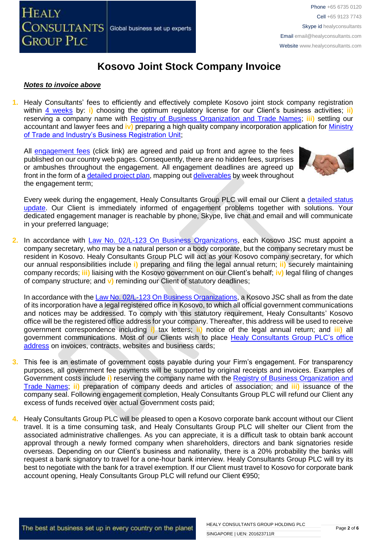

#### *Notes to invoice above*

**1.** Healy Consultants' fees to efficiently and effectively complete Kosovo joint stock company registration within [4 weeks](http://www.healyconsultants.com/kosovo-company-registration/fees-timelines/#timelines) by: **i**) choosing the optimum regulatory license for our Client's business activities; **ii**) reserving a company name with [Registry of Business Organization and Trade Names;](http://www.arbk.org/) **iii)** settling our accountant and lawyer fees and **iv)** preparing a high quality company incorporation application for [Ministry](http://www.arbk.org/)  [of Trade and Industry's Business Registration Unit;](http://www.arbk.org/)

All [engagement fees](http://www.healyconsultants.com/company-registration-fees/) (click link) are agreed and paid up front and agree to the fees published on our country web pages. Consequently, there are no hidden fees, surprises or ambushes throughout the engagement. All engagement deadlines are agreed up front in the form of a [detailed project plan,](http://www.healyconsultants.com/index-important-links/example-project-plan/) mapping ou[t deliverables](http://www.healyconsultants.com/deliverables-to-our-clients/) by week throughout the engagement term;



Every week during the engagement, Healy Consultants Group PLC will email our Client a [detailed status](http://www.healyconsultants.com/index-important-links/weekly-engagement-status-email/)  [update.](http://www.healyconsultants.com/index-important-links/weekly-engagement-status-email/) Our Client is immediately informed of engagement problems together with solutions. Your dedicated engagement manager is reachable by phone, Skype, live chat and email and will communicate in your preferred language;

**2.** In accordance with [Law No. 02/L-123 On Business Organizations,](http://www.gazetazyrtare.com/e-gov/index.php?option=com_content&task=view&id=267&Itemid=28) each Kosovo JSC must appoint a company secretary, who may be a natural person or a body corporate, but the company secretary must be resident in Kosovo. Healy Consultants Group PLC will act as your Kosovo company secretary, for which our annual responsibilities include **i)** preparing and filing the legal annual return; **ii)** securely maintaining company records; **iii)** liaising with the Kosovo government on our Client's behalf; **iv)** legal filing of changes of company structure; and **v)** reminding our Client of statutory deadlines;

In accordance with th[e Law No. 02/L-123 On Business Organizations,](http://www.gazetazyrtare.com/e-gov/index.php?option=com_content&task=view&id=267&Itemid=28) a Kosovo JSC shall as from the date of its incorporation have a legal registered office in Kosovo, to which all official government communications and notices may be addressed. To comply with this statutory requirement, Healy Consultants' Kosovo office will be the registered office address for your company. Thereafter, this address will be used to receive government correspondence including **i)** tax letters; **ii)** notice of the legal annual return; and **iii)** all government communications. Most of our Clients wish to place [Healy Consultants](http://www.healyconsultants.com/corporate-outsourcing-services/company-secretary-and-legal-registered-office/) Group PLC's office [address](http://www.healyconsultants.com/corporate-outsourcing-services/company-secretary-and-legal-registered-office/) on invoices, contracts, websites and business cards;

- **3.** This fee is an estimate of government costs payable during your Firm's engagement. For transparency purposes, all government fee payments will be supported by original receipts and invoices. Examples of Government costs include **i)** reserving the company name with the [Registry of Business Organization and](http://www.arbk.org/)  [Trade Names;](http://www.arbk.org/) **ii)** preparation of company deeds and articles of association; and **iii)** issuance of the company seal. Following engagement completion, Healy Consultants Group PLC will refund our Client any excess of funds received over actual Government costs paid;
- **4.** Healy Consultants Group PLC will be pleased to open a Kosovo corporate bank account without our Client travel. It is a time consuming task, and Healy Consultants Group PLC will shelter our Client from the associated administrative challenges. As you can appreciate, it is a difficult task to obtain bank account approval through a newly formed company when shareholders, directors and bank signatories reside overseas. Depending on our Client's business and nationality, there is a 20% probability the banks will request a bank signatory to travel for a one-hour bank interview. Healy Consultants Group PLC will try its best to negotiate with the bank for a travel exemption. If our Client must travel to Kosovo for corporate bank account opening, Healy Consultants Group PLC will refund our Client €950;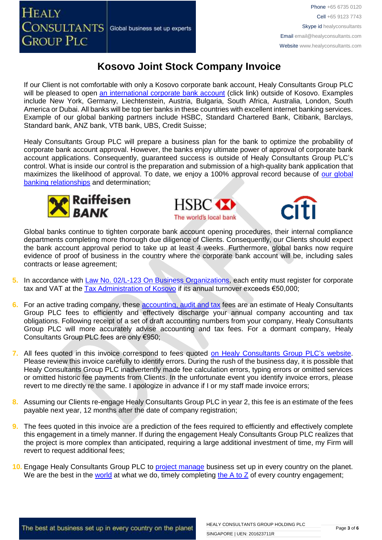If our Client is not comfortable with only a Kosovo corporate bank account, Healy Consultants Group PLC will be pleased to open [an international corporate bank account](http://www.healyconsultants.com/international-banking/) (click link) outside of Kosovo. Examples include New York, Germany, Liechtenstein, Austria, Bulgaria, South Africa, Australia, London, South America or Dubai. All banks will be top tier banks in these countries with excellent internet banking services. Example of our global banking partners include HSBC, Standard Chartered Bank, Citibank, Barclays, Standard bank, ANZ bank, VTB bank, UBS, Credit Suisse;

Healy Consultants Group PLC will prepare a business plan for the bank to optimize the probability of corporate bank account approval. However, the banks enjoy ultimate power of approval of corporate bank account applications. Consequently, guaranteed success is outside of Healy Consultants Group PLC's control. What is inside our control is the preparation and submission of a high-quality bank application that maximizes the likelihood of approval. To date, we enjoy a 100% approval record because of [our global](http://www.healyconsultants.com/international-banking/corporate-accounts/)  [banking relationships](http://www.healyconsultants.com/international-banking/corporate-accounts/) and determination;







Global banks continue to tighten corporate bank account opening procedures, their internal compliance departments completing more thorough due diligence of Clients. Consequently, our Clients should expect the bank account approval period to take up at least 4 weeks. Furthermore, global banks now require evidence of proof of business in the country where the corporate bank account will be, including sales contracts or lease agreement;

- **5.** In accordance with [Law No. 02/L-123 On Business Organizations,](http://www.gazetazyrtare.com/e-gov/index.php?option=com_content&task=view&id=267&Itemid=28) each entity must register for corporate tax and VAT at the [Tax Administration of Kosovo](http://www.atk-ks.org/?lang=en) if its annual turnover exceeds €50,000;
- **6.** For an active trading company, these **accounting, audit and tax fees** are an estimate of Healy Consultants Group PLC fees to efficiently and effectively discharge your annual company accounting and tax obligations. Following receipt of a set of draft accounting numbers from your company, Healy Consultants Group PLC will more accurately advise accounting and tax fees. For a dormant company, Healy Consultants Group PLC fees are only €950;
- **7.** All fees quoted in this invoice correspond to fees quoted [on Healy Consultants](http://www.healyconsultants.com/company-registration-fees/) Group PLC's website. Please review this invoice carefully to identify errors. During the rush of the business day, it is possible that Healy Consultants Group PLC inadvertently made fee calculation errors, typing errors or omitted services or omitted historic fee payments from Clients. In the unfortunate event you identify invoice errors, please revert to me directly re the same. I apologize in advance if I or my staff made invoice errors;
- **8.** Assuming our Clients re-engage Healy Consultants Group PLC in year 2, this fee is an estimate of the fees payable next year, 12 months after the date of company registration;
- **9.** The fees quoted in this invoice are a prediction of the fees required to efficiently and effectively complete this engagement in a timely manner. If during the engagement Healy Consultants Group PLC realizes that the project is more complex than anticipated, requiring a large additional investment of time, my Firm will revert to request additional fees;
- **10.** Engage Healy Consultants Group PLC to [project manage](http://www.healyconsultants.com/project-manage-engagements/) business set up in every country on the planet. We are the best in the [world](http://www.healyconsultants.com/best-in-the-world/) at what we do, timely completing [the A to Z](http://www.healyconsultants.com/a-to-z-of-business-set-up/) of every country engagement;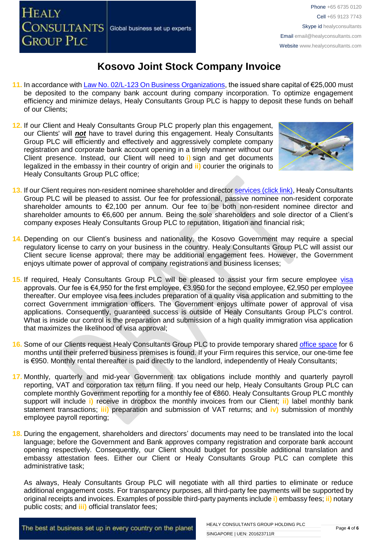**HEALY CONSULTANTS** Global business set up experts **GROUP PLC** 

### **Kosovo Joint Stock Company Invoice**

- **11.** In accordance with [Law No. 02/L-123 On Business Organizations,](http://www.gazetazyrtare.com/e-gov/index.php?option=com_content&task=view&id=267&Itemid=28) the issued share capital of €25,000 must be deposited to the company bank account during company incorporation. To optimize engagement efficiency and minimize delays, Healy Consultants Group PLC is happy to deposit these funds on behalf of our Clients;
- **12.** If our Client and Healy Consultants Group PLC properly plan this engagement, our Clients' will *not* have to travel during this engagement. Healy Consultants Group PLC will efficiently and effectively and aggressively complete company registration and corporate bank account opening in a timely manner without our Client presence. Instead, our Client will need to **i)** sign and get documents legalized in the embassy in their country of origin and **ii)** courier the originals to Healy Consultants Group PLC office;



- **13.** If our Client requires non-resident nominee shareholder and director services [\(click link\),](http://www.healyconsultants.com/corporate-outsourcing-services/nominee-shareholders-directors/) Healy Consultants Group PLC will be pleased to assist. Our fee for professional, passive nominee non-resident corporate shareholder amounts to €2,100 per annum. Our fee to be both non-resident nominee director and shareholder amounts to €6,600 per annum. Being the sole shareholders and sole director of a Client's company exposes Healy Consultants Group PLC to reputation, litigation and financial risk;
- **14.** Depending on our Client's business and nationality, the Kosovo Government may require a special regulatory license to carry on your business in the country. Healy Consultants Group PLC will assist our Client secure license approval; there may be additional engagement fees. However, the Government enjoys ultimate power of approval of company registrations and business licenses;
- 15. If required, Healy Consultants Group PLC will be pleased to assist your firm secure employee [visa](http://www.healyconsultants.com/support-services/) approvals. Our fee is €4,950 for the first employee, €3,950 for the second employee, €2,950 per employee thereafter. Our employee visa fees includes preparation of a quality visa application and submitting to the correct Government immigration officers. The Government enjoys ultimate power of approval of visa applications. Consequently, guaranteed success is outside of Healy Consultants Group PLC's control. What is inside our control is the preparation and submission of a high quality immigration visa application that maximizes the likelihood of visa approval;
- **16.** Some of our Clients request Healy Consultants Group PLC to provide temporary shared [office space](http://www.healyconsultants.com/virtual-office/) for 6 months until their preferred business premises is found. If your Firm requires this service, our one-time fee is €950. Monthly rental thereafter is paid directly to the landlord, independently of Healy Consultants;
- **17.** Monthly, quarterly and mid-year Government tax obligations include monthly and quarterly payroll reporting, VAT and corporation tax return filing. If you need our help, Healy Consultants Group PLC can complete monthly Government reporting for a monthly fee of €860. Healy Consultants Group PLC monthly support will include **i)** receive in dropbox the monthly invoices from our Client; **ii)** label monthly bank statement transactions; **iii)** preparation and submission of VAT returns; and **iv)** submission of monthly employee payroll reporting;
- **18.** During the engagement, shareholders and directors' documents may need to be translated into the local language; before the Government and Bank approves company registration and corporate bank account opening respectively. Consequently, our Client should budget for possible additional translation and embassy attestation fees. Either our Client or Healy Consultants Group PLC can complete this administrative task;

As always, Healy Consultants Group PLC will negotiate with all third parties to eliminate or reduce additional engagement costs. For transparency purposes, all third-party fee payments will be supported by original receipts and invoices. Examples of possible third-party payments include **i)** embassy fees; **ii)** notary public costs; and **iii)** official translator fees;

The best at business set up in every country on the planet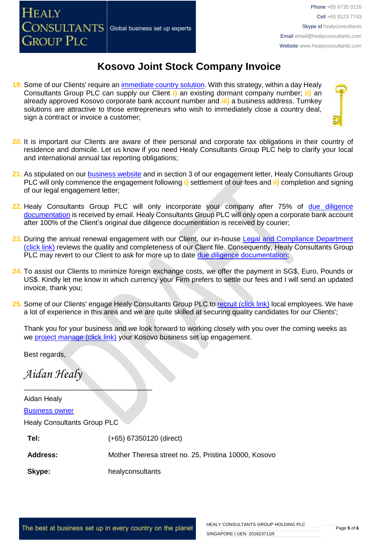**HEALY** CONSULTANTS Global business set up experts **GROUP PLC** 

### **Kosovo Joint Stock Company Invoice**

- **19.** Some of our Clients' require an [immediate country solution.](http://www.healyconsultants.com/turnkey-solutions/) With this strategy, within a day Healy Consultants Group PLC can supply our Client **i)** an existing dormant company number; **ii)** an already approved Kosovo corporate bank account number and **iii)** a business address. Turnkey solutions are attractive to those entrepreneurs who wish to immediately close a country deal, sign a contract or invoice a customer:
- **20.** It is important our Clients are aware of their personal and corporate tax obligations in their country of residence and domicile. Let us know if you need Healy Consultants Group PLC help to clarify your local and international annual tax reporting obligations;
- **21.** As stipulated on our [business website](http://www.healyconsultants.com/) and in section 3 of our engagement letter, Healy Consultants Group PLC will only commence the engagement following **i)** settlement of our fees and **ii)** completion and signing of our legal engagement letter;
- 22. Healy Consultants Group PLC will only incorporate your company after 75% of due diligence [documentation](http://www.healyconsultants.com/due-diligence/) is received by email. Healy Consultants Group PLC will only open a corporate bank account after 100% of the Client's original due diligence documentation is received by courier;
- **23.** During the annual renewal engagement with our Client, our in-house [Legal and Compliance Department](http://www.healyconsultants.com/about-us/key-personnel/cai-xin-profile/)  [\(click link\)](http://www.healyconsultants.com/about-us/key-personnel/cai-xin-profile/) reviews the quality and completeness of our Client file. Consequently, Healy Consultants Group PLC may revert to our Client to ask for more up to date [due diligence documentation;](http://www.healyconsultants.com/due-diligence/)
- **24.** To assist our Clients to minimize foreign exchange costs, we offer the payment in SG\$, Euro, Pounds or US\$. Kindly let me know in which currency your Firm prefers to settle our fees and I will send an updated invoice, thank you;
- **25.** Some of our Clients' engage Healy Consultants Group PLC t[o recruit \(click link\)](http://www.healyconsultants.com/corporate-outsourcing-services/how-we-help-our-clients-recruit-quality-employees/) local employees. We have a lot of experience in this area and we are quite skilled at securing quality candidates for our Clients';

Thank you for your business and we look forward to working closely with you over the coming weeks as we [project manage \(click link\)](http://www.healyconsultants.com/company-formation/project-manage-engagements/) your Kosovo business set up engagement.

Best regards,

*Aidan Healy*

 $\overline{\phantom{a}}$  , we can assume that the contract of  $\overline{\phantom{a}}$ 

| Aidan Healy                        |                                                      |
|------------------------------------|------------------------------------------------------|
| <b>Business owner</b>              |                                                      |
| <b>Healy Consultants Group PLC</b> |                                                      |
| Tel:                               | (+65) 67350120 (direct)                              |
| <b>Address:</b>                    | Mother Theresa street no. 25, Pristina 10000, Kosovo |
| Skype:                             | healyconsultants                                     |